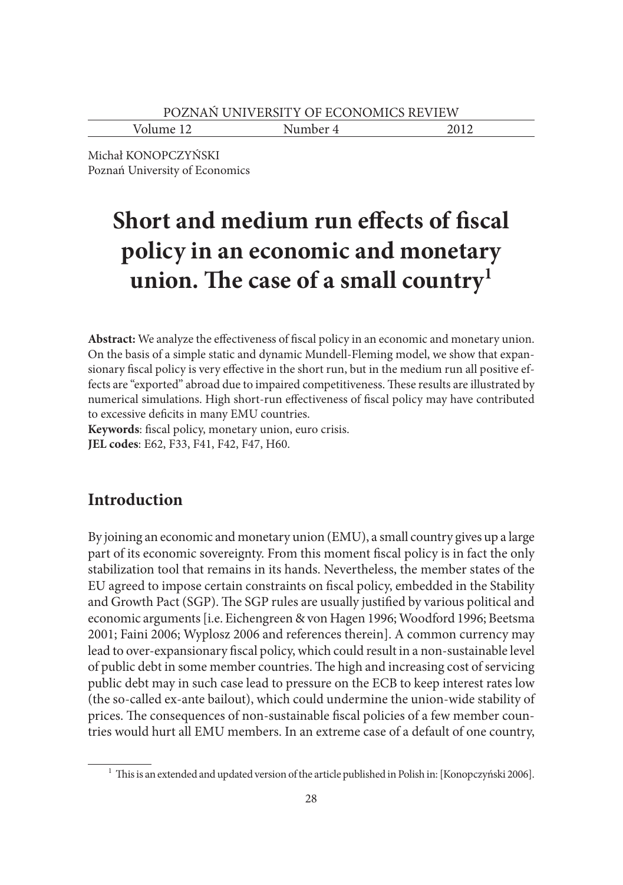Volume 12 Number 4 2012

Michał KONOPCZYŃSKI Poznań University of Economics

# **Short and medium run effects of fiscal policy in an economic and monetary**  union. The case of a small country<sup>1</sup>

Abstract: We analyze the effectiveness of fiscal policy in an economic and monetary union. On the basis of a simple static and dynamic Mundell-Fleming model, we show that expansionary fiscal policy is very effective in the short run, but in the medium run all positive effects are "exported" abroad due to impaired competitiveness. These results are illustrated by numerical simulations. High short-run effectiveness of fiscal policy may have contributed to excessive deficits in many EMU countries.

Keywords: fiscal policy, monetary union, euro crisis. **JEL codes**: E62, F33, F41, F42, F47, H60.

## **Introduction**

By joining an economic and monetary union (EMU), a small country gives up a large part of its economic sovereignty. From this moment fiscal policy is in fact the only stabilization tool that remains in its hands. Nevertheless, the member states of the EU agreed to impose certain constraints on fiscal policy, embedded in the Stability and Growth Pact (SGP). The SGP rules are usually justified by various political and economic arguments [i.e. Eichengreen & von Hagen 1996; Woodford 1996; Beetsma 2001; Faini 2006; Wyplosz 2006 and references therein]. A common currency may lead to over-expansionary fiscal policy, which could result in a non-sustainable level of public debt in some member countries. The high and increasing cost of servicing public debt may in such case lead to pressure on the ECB to keep interest rates low (the so-called ex-ante bailout), which could undermine the union-wide stability of prices. The consequences of non-sustainable fiscal policies of a few member countries would hurt all EMU members. In an extreme case of a default of one country,

 $^{\rm 1}$  This is an extended and updated version of the article published in Polish in: [Konopczyński 2006].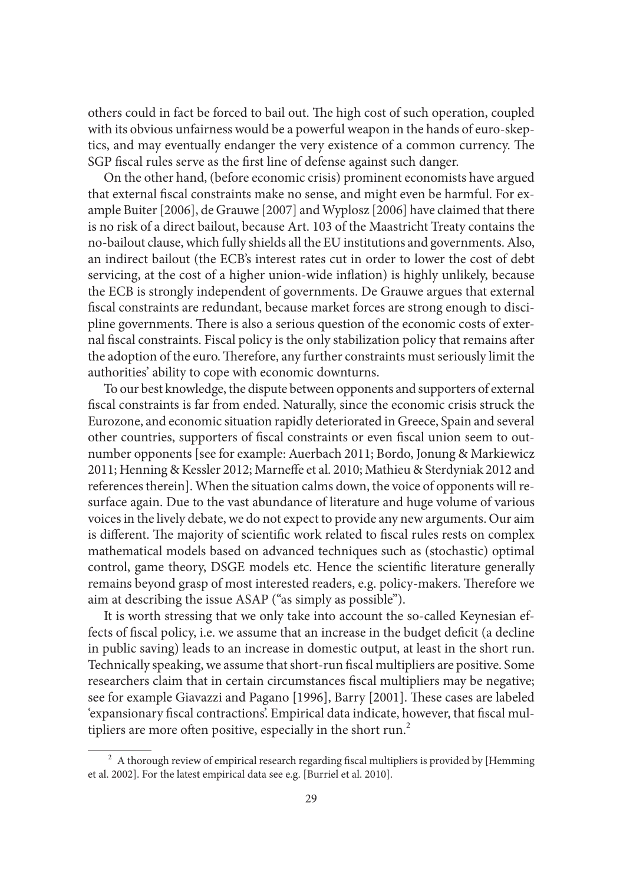others could in fact be forced to bail out. The high cost of such operation, coupled with its obvious unfairness would be a powerful weapon in the hands of euro-skeptics, and may eventually endanger the very existence of a common currency. The SGP fiscal rules serve as the first line of defense against such danger.

On the other hand, (before economic crisis) prominent economists have argued that external fiscal constraints make no sense, and might even be harmful. For example Buiter [2006], de Grauwe [2007] and Wyplosz [2006] have claimed that there is no risk of a direct bailout, because Art. 103 of the Maastricht Treaty contains the no-bailout clause, which fully shields all the EU institutions and governments. Also, an indirect bailout (the ECB's interest rates cut in order to lower the cost of debt servicing, at the cost of a higher union-wide inflation) is highly unlikely, because the ECB is strongly independent of governments. De Grauwe argues that external fiscal constraints are redundant, because market forces are strong enough to discipline governments. There is also a serious question of the economic costs of external fiscal constraints. Fiscal policy is the only stabilization policy that remains after the adoption of the euro. Therefore, any further constraints must seriously limit the authorities' ability to cope with economic downturns.

To our best knowledge, the dispute between opponents and supporters of external fiscal constraints is far from ended. Naturally, since the economic crisis struck the Eurozone, and economic situation rapidly deteriorated in Greece, Spain and several other countries, supporters of fiscal constraints or even fiscal union seem to outnumber opponents [see for example: Auerbach 2011; Bordo, Jonung & Markiewicz 2011; Henning & Kessler 2012; Marneffe et al. 2010; Mathieu & Sterdyniak 2012 and references therein]. When the situation calms down, the voice of opponents will resurface again. Due to the vast abundance of literature and huge volume of various voices in the lively debate, we do not expect to provide any new arguments. Our aim is different. The majority of scientific work related to fiscal rules rests on complex mathematical models based on advanced techniques such as (stochastic) optimal control, game theory, DSGE models etc. Hence the scientific literature generally remains beyond grasp of most interested readers, e.g. policy-makers. Therefore we aim at describing the issue ASAP ("as simply as possible").

It is worth stressing that we only take into account the so-called Keynesian effects of fiscal policy, i.e. we assume that an increase in the budget deficit (a decline in public saving) leads to an increase in domestic output, at least in the short run. Technically speaking, we assume that short-run fiscal multipliers are positive. Some researchers claim that in certain circumstances fiscal multipliers may be negative; see for example Giavazzi and Pagano [1996], Barry [2001]. These cases are labeled 'expansionary fiscal contractions'. Empirical data indicate, however, that fiscal multipliers are more often positive, especially in the short run. $<sup>2</sup>$ </sup>

 $2\,$  A thorough review of empirical research regarding fiscal multipliers is provided by [Hemming et al. 2002]. For the latest empirical data see e.g. [Burriel et al. 2010].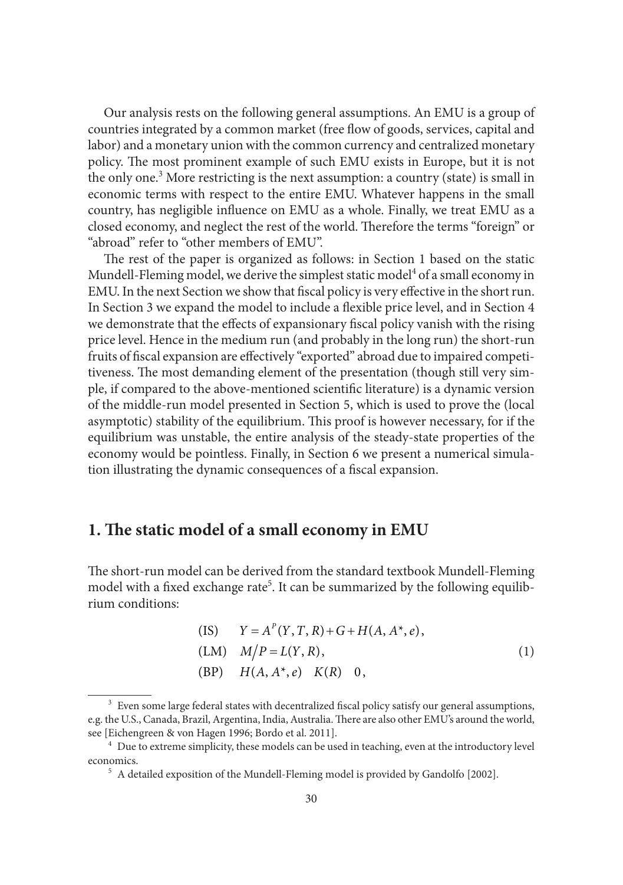Our analysis rests on the following general assumptions. An EMU is a group of countries integrated by a common market (free flow of goods, services, capital and labor) and a monetary union with the common currency and centralized monetary policy. The most prominent example of such EMU exists in Europe, but it is not the only one.<sup>3</sup> More restricting is the next assumption: a country (state) is small in economic terms with respect to the entire EMU. Whatever happens in the small country, has negligible influence on EMU as a whole. Finally, we treat EMU as a closed economy, and neglect the rest of the world. Therefore the terms "foreign" or "abroad" refer to "other members of EMU".

The rest of the paper is organized as follows: in Section 1 based on the static Mundell-Fleming model, we derive the simplest static model<sup>4</sup> of a small economy in EMU. In the next Section we show that fiscal policy is very effective in the short run. In Section 3 we expand the model to include a flexible price level, and in Section 4 we demonstrate that the effects of expansionary fiscal policy vanish with the rising price level. Hence in the medium run (and probably in the long run) the short-run fruits of fiscal expansion are effectively "exported" abroad due to impaired competitiveness. The most demanding element of the presentation (though still very simple, if compared to the above-mentioned scientific literature) is a dynamic version of the middle-run model presented in Section 5, which is used to prove the (local asymptotic) stability of the equilibrium. This proof is however necessary, for if the equilibrium was unstable, the entire analysis of the steady-state properties of the economy would be pointless. Finally, in Section 6 we present a numerical simulation illustrating the dynamic consequences of a fiscal expansion.

#### **1. The static model of a small economy in EMU**

The short-run model can be derived from the standard textbook Mundell-Fleming model with a fixed exchange rate<sup>5</sup>. It can be summarized by the following equilibrium conditions:

(IS) 
$$
Y = A^P(Y, T, R) + G + H(A, A^*, e),
$$
  
\n(LM)  $M/P = L(Y, R),$   
\n(BP)  $H(A, A^*, e) \ K(R) \ 0,$  (1)

<sup>&</sup>lt;sup>3</sup> Even some large federal states with decentralized fiscal policy satisfy our general assumptions, e.g. the U.S., Canada, Brazil, Argentina, India, Australia. There are also other EMU's around the world, see [Eichengreen & von Hagen 1996; Bordo et al. 2011].<br><sup>4</sup> Due to extreme simplicity, these models can be used in teaching, even at the introductory level

economics. 5 A detailed exposition of the Mundell-Fleming model is provided by Gandolfo [2002].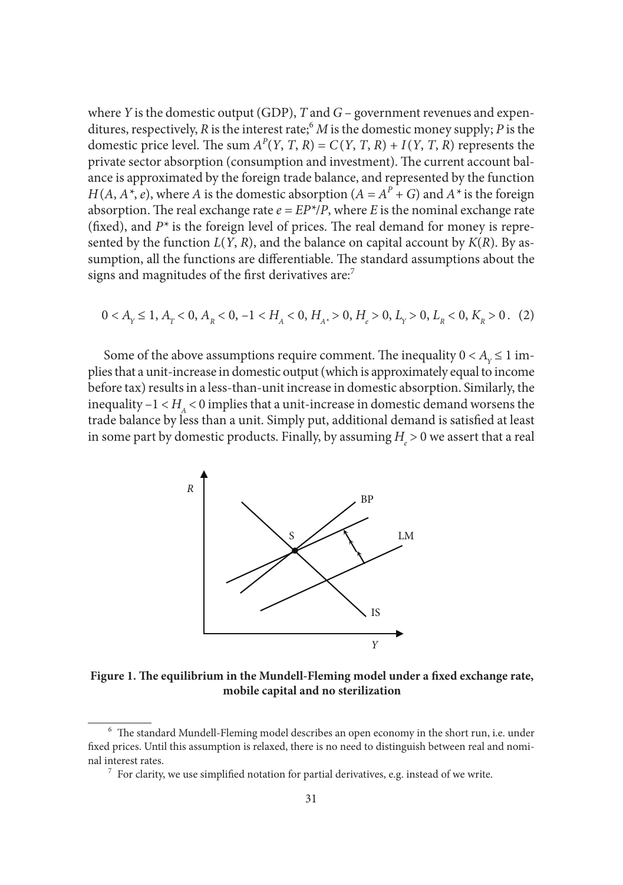where *Y* is the domestic output (GDP), *T* and *G* – government revenues and expenditures, respectively, *R* is the interest rate;6 *M* is the domestic money supply; *P* is the domestic price level. The sum  $A^P(Y, T, R) = C(Y, T, R) + I(Y, T, R)$  represents the private sector absorption (consumption and investment). The current account balance is approximated by the foreign trade balance, and represented by the function *H*(*A*, *A*<sup>\*</sup>, *e*), where *A* is the domestic absorption (*A* =  $A^P$  + *G*) and  $A^*$  is the foreign absorption. The real exchange rate  $e = EP^*/P$ , where *E* is the nominal exchange rate (fixed), and  $P^*$  is the foreign level of prices. The real demand for money is represented by the function  $L(Y, R)$ , and the balance on capital account by  $K(R)$ . By assumption, all the functions are differentiable. The standard assumptions about the signs and magnitudes of the first derivatives are:<sup>7</sup>

$$
0 < A_{Y} \le 1, A_{Y} < 0, A_{R} < 0, -1 < H_{A} < 0, H_{A^*} > 0, H_{e} > 0, L_{Y} > 0, L_{R} < 0, K_{R} > 0. \tag{2}
$$

Some of the above assumptions require comment. The inequality  $0 < A<sub>y</sub> \le 1$  implies that a unit-increase in domestic output (which is approximately equal to income before tax) results in a less-than-unit increase in domestic absorption. Similarly, the inequality  $-1 < H$ <sub>4</sub>  $<$  0 implies that a unit-increase in domestic demand worsens the trade balance by less than a unit. Simply put, additional demand is satisfied at least in some part by domestic products. Finally, by assuming  $H_{_{e}} > 0$  we assert that a real



Figure 1. The equilibrium in the Mundell-Fleming model under a fixed exchange rate, **mobile capital and no sterilization**

 $6$  The standard Mundell-Fleming model describes an open economy in the short run, i.e. under fixed prices. Until this assumption is relaxed, there is no need to distinguish between real and nominal interest rates.  $^7\,$  For clarity, we use simplified notation for partial derivatives, e.g. instead of we write.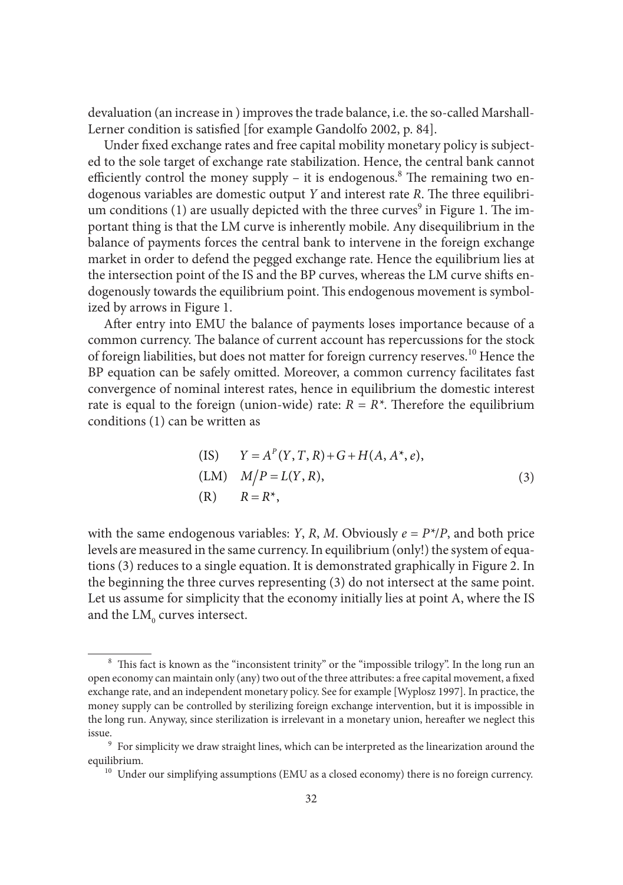devaluation (an increase in ) improves the trade balance, i.e. the so-called Marshall-Lerner condition is satisfied [for example Gandolfo 2002, p. 84].

Under fixed exchange rates and free capital mobility monetary policy is subjected to the sole target of exchange rate stabilization. Hence, the central bank cannot efficiently control the money supply  $-$  it is endogenous.<sup>8</sup> The remaining two endogenous variables are domestic output *Y* and interest rate *R*. The three equilibrium conditions (1) are usually depicted with the three curves $^9$  in Figure 1. The important thing is that the LM curve is inherently mobile. Any disequilibrium in the balance of payments forces the central bank to intervene in the foreign exchange market in order to defend the pegged exchange rate. Hence the equilibrium lies at the intersection point of the IS and the BP curves, whereas the LM curve shifts endogenously towards the equilibrium point. This endogenous movement is symbolized by arrows in Figure 1.

After entry into EMU the balance of payments loses importance because of a common currency. The balance of current account has repercussions for the stock of foreign liabilities, but does not matter for foreign currency reserves.10 Hence the BP equation can be safely omitted. Moreover, a common currency facilitates fast convergence of nominal interest rates, hence in equilibrium the domestic interest rate is equal to the foreign (union-wide) rate:  $R = R^*$ . Therefore the equilibrium conditions (1) can be written as

(IS) 
$$
Y = A^P(Y, T, R) + G + H(A, A^*, e),
$$
  
(LM)  $M/P = L(Y, R),$   
(R)  $R = R^*,$  (3)

with the same endogenous variables: *Y*, *R*, *M*. Obviously  $e = P^*/P$ , and both price levels are measured in the same currency. In equilibrium (only!) the system of equations (3) reduces to a single equation. It is demonstrated graphically in Figure 2. In the beginning the three curves representing (3) do not intersect at the same point. Let us assume for simplicity that the economy initially lies at point A, where the IS and the  ${\rm LM_{_0}}$  curves intersect.

 $8\text{ This fact is known as the "inconsistent trinity" or the "impossible trilogy". In the long run an$ open economy can maintain only (any) two out of the three attributes: a free capital movement, a fixed exchange rate, and an independent monetary policy. See for example [Wyplosz 1997]. In practice, the money supply can be controlled by sterilizing foreign exchange intervention, but it is impossible in the long run. Anyway, since sterilization is irrelevant in a monetary union, hereafter we neglect this issue.<br><sup>9</sup> For simplicity we draw straight lines, which can be interpreted as the linearization around the

equilibrium.<br><sup>10</sup> Under our simplifying assumptions (EMU as a closed economy) there is no foreign currency.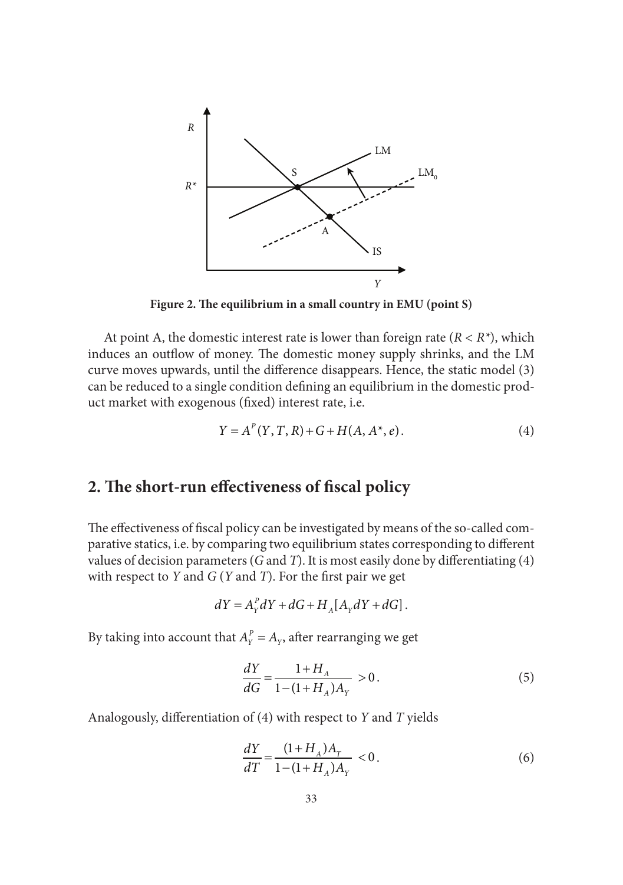

Figure 2. The equilibrium in a small country in EMU (point S)

At point A, the domestic interest rate is lower than foreign rate (*R < R\**), which induces an outflow of money. The domestic money supply shrinks, and the LM curve moves upwards, until the difference disappears. Hence, the static model (3) can be reduced to a single condition defining an equilibrium in the domestic product market with exogenous (fixed) interest rate, i.e.

$$
Y = A^{P}(Y, T, R) + G + H(A, A^{*}, e).
$$
 (4)

## 2. The short-run effectiveness of fiscal policy

The effectiveness of fiscal policy can be investigated by means of the so-called comparative statics, i.e. by comparing two equilibrium states corresponding to different values of decision parameters ( $G$  and  $T$ ). It is most easily done by differentiating ( $4$ ) with respect to  $Y$  and  $G(Y$  and  $T)$ . For the first pair we get

$$
dY = A_Y^P dY + dG + H_A[A_Y dY + dG].
$$

By taking into account that  $A_y^P = A_y$ , after rearranging we get

$$
\frac{dY}{dG} = \frac{1 + H_A}{1 - (1 + H_A)A_Y} > 0.
$$
\n(5)

Analogously, differentiation of (4) with respect to *Y* and *T* yields

$$
\frac{dY}{dT} = \frac{(1 + H_A)A_T}{1 - (1 + H_A)A_Y} < 0. \tag{6}
$$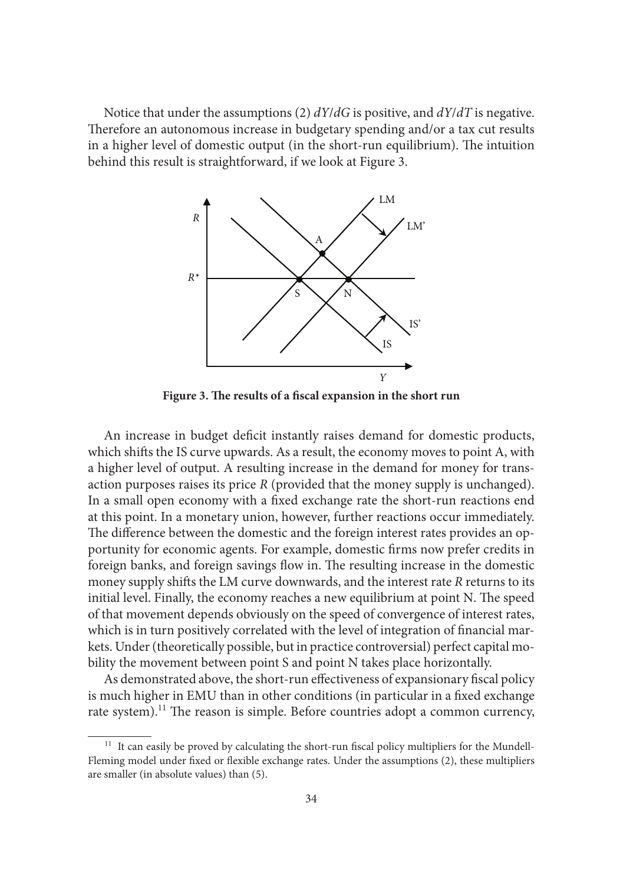Notice that under the assumptions (2) *dY*/*dG* is positive, and *dY*/*dT* is negative. Therefore an autonomous increase in budgetary spending and/or a tax cut results in a higher level of domestic output (in the short-run equilibrium). The intuition behind this result is straightforward, if we look at Figure 3.



Figure 3. The results of a fiscal expansion in the short run

An increase in budget deficit instantly raises demand for domestic products, which shifts the IS curve upwards. As a result, the economy moves to point A, with a higher level of output. A resulting increase in the demand for money for transaction purposes raises its price *R* (provided that the money supply is unchanged). In a small open economy with a fixed exchange rate the short-run reactions end at this point. In a monetary union, however, further reactions occur immediately. The difference between the domestic and the foreign interest rates provides an opportunity for economic agents. For example, domestic firms now prefer credits in foreign banks, and foreign savings flow in. The resulting increase in the domestic money supply shifts the LM curve downwards, and the interest rate *R* returns to its initial level. Finally, the economy reaches a new equilibrium at point N. The speed of that movement depends obviously on the speed of convergence of interest rates, which is in turn positively correlated with the level of integration of financial markets. Under (theoretically possible, but in practice controversial) perfect capital mobility the movement between point S and point N takes place horizontally.

As demonstrated above, the short-run effectiveness of expansionary fiscal policy is much higher in EMU than in other conditions (in particular in a fixed exchange rate system).<sup>11</sup> The reason is simple. Before countries adopt a common currency,

<sup>&</sup>lt;sup>11</sup> It can easily be proved by calculating the short-run fiscal policy multipliers for the Mundell-Fleming model under fixed or flexible exchange rates. Under the assumptions (2), these multipliers are smaller (in absolute values) than (5).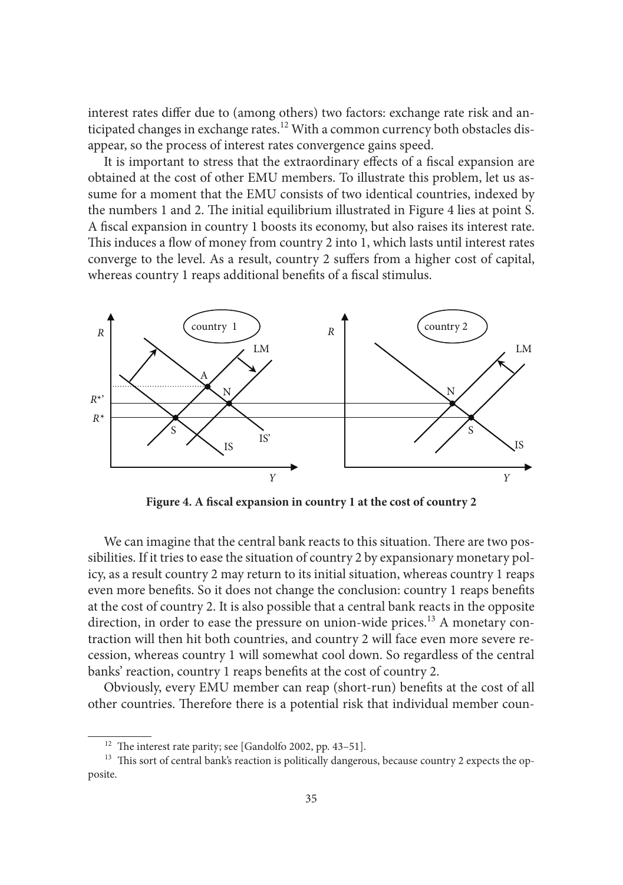interest rates differ due to (among others) two factors: exchange rate risk and anticipated changes in exchange rates.<sup>12</sup> With a common currency both obstacles disappear, so the process of interest rates convergence gains speed.

It is important to stress that the extraordinary effects of a fiscal expansion are obtained at the cost of other EMU members. To illustrate this problem, let us assume for a moment that the EMU consists of two identical countries, indexed by the numbers 1 and 2. The initial equilibrium illustrated in Figure 4 lies at point S. A fiscal expansion in country 1 boosts its economy, but also raises its interest rate. This induces a flow of money from country 2 into 1, which lasts until interest rates converge to the level. As a result, country 2 suffers from a higher cost of capital, whereas country 1 reaps additional benefits of a fiscal stimulus.



Figure 4. A fiscal expansion in country 1 at the cost of country 2

We can imagine that the central bank reacts to this situation. There are two possibilities. If it tries to ease the situation of country 2 by expansionary monetary policy, as a result country 2 may return to its initial situation, whereas country 1 reaps even more benefits. So it does not change the conclusion: country 1 reaps benefits at the cost of country 2. It is also possible that a central bank reacts in the opposite direction, in order to ease the pressure on union-wide prices.<sup>13</sup> A monetary contraction will then hit both countries, and country 2 will face even more severe recession, whereas country 1 will somewhat cool down. So regardless of the central banks' reaction, country 1 reaps benefits at the cost of country 2.

Obviously, every EMU member can reap (short-run) benefits at the cost of all other countries. Therefore there is a potential risk that individual member coun-

<sup>&</sup>lt;sup>12</sup> The interest rate parity; see [Gandolfo 2002, pp. 43–51].<br><sup>13</sup> This sort of central bank's reaction is politically dangerous, because country 2 expects the opposite.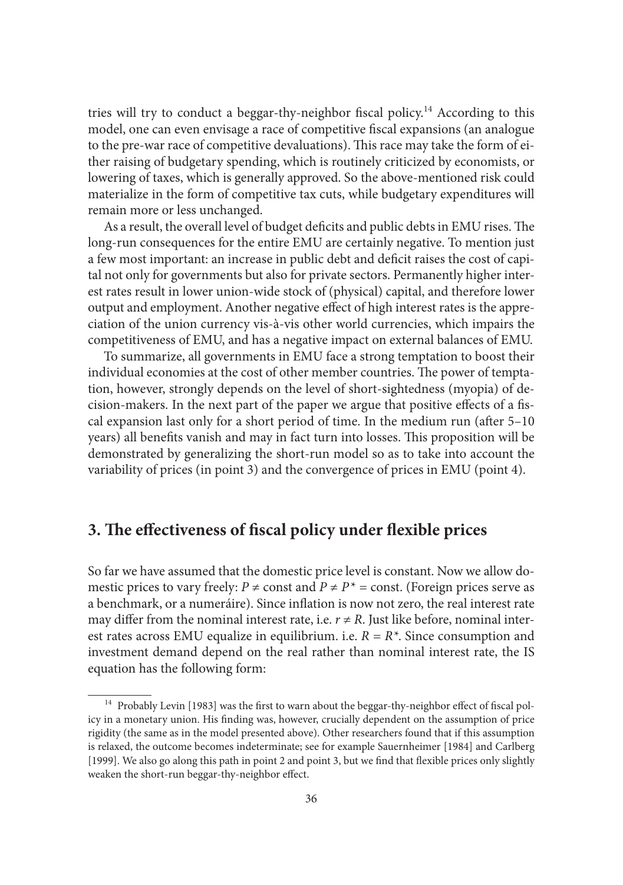tries will try to conduct a beggar-thy-neighbor fiscal policy.<sup>14</sup> According to this model, one can even envisage a race of competitive fiscal expansions (an analogue to the pre-war race of competitive devaluations). This race may take the form of either raising of budgetary spending, which is routinely criticized by economists, or lowering of taxes, which is generally approved. So the above-mentioned risk could materialize in the form of competitive tax cuts, while budgetary expenditures will remain more or less unchanged.

As a result, the overall level of budget deficits and public debts in EMU rises. The long-run consequences for the entire EMU are certainly negative. To mention just a few most important: an increase in public debt and deficit raises the cost of capital not only for governments but also for private sectors. Permanently higher interest rates result in lower union-wide stock of (physical) capital, and therefore lower output and employment. Another negative effect of high interest rates is the appreciation of the union currency vis-à-vis other world currencies, which impairs the competitiveness of EMU, and has a negative impact on external balances of EMU.

To summarize, all governments in EMU face a strong temptation to boost their individual economies at the cost of other member countries. The power of temptation, however, strongly depends on the level of short-sightedness (myopia) of decision-makers. In the next part of the paper we argue that positive effects of a fiscal expansion last only for a short period of time. In the medium run (after  $5-10$ years) all benefits vanish and may in fact turn into losses. This proposition will be demonstrated by generalizing the short-run model so as to take into account the variability of prices (in point 3) and the convergence of prices in EMU (point 4).

## **3. The effectiveness of fiscal policy under flexible prices**

So far we have assumed that the domestic price level is constant. Now we allow domestic prices to vary freely: *P*  $\neq$  const and *P*  $\neq$  *P*<sup> $*$ </sup> = const. (Foreign prices serve as a benchmark, or a numeráire). Since inflation is now not zero, the real interest rate may differ from the nominal interest rate, i.e.  $r \neq R$ . Just like before, nominal interest rates across EMU equalize in equilibrium. i.e. *R = R\**. Since consumption and investment demand depend on the real rather than nominal interest rate, the IS equation has the following form:

<sup>&</sup>lt;sup>14</sup> Probably Levin [1983] was the first to warn about the beggar-thy-neighbor effect of fiscal policy in a monetary union. His finding was, however, crucially dependent on the assumption of price rigidity (the same as in the model presented above). Other researchers found that if this assumption is relaxed, the outcome becomes indeterminate; see for example Sauernheimer [1984] and Carlberg [1999]. We also go along this path in point 2 and point 3, but we find that flexible prices only slightly weaken the short-run beggar-thy-neighbor effect.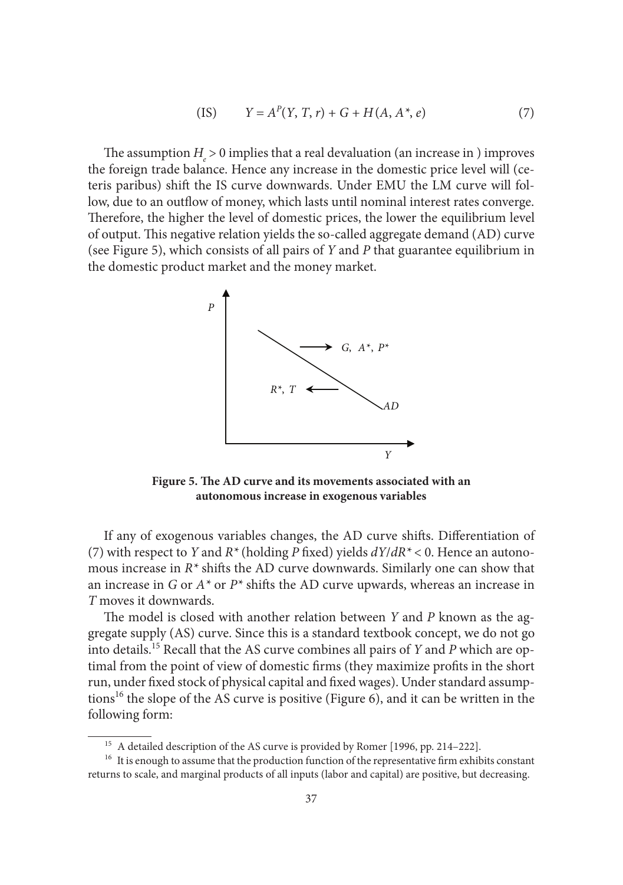(IS) 
$$
Y = A^{P}(Y, T, r) + G + H(A, A^{*}, e)
$$
 (7)

The assumption  $H_e > 0$  implies that a real devaluation (an increase in ) improves the foreign trade balance. Hence any increase in the domestic price level will (ceteris paribus) shift the IS curve downwards. Under EMU the LM curve will follow, due to an outflow of money, which lasts until nominal interest rates converge. Therefore, the higher the level of domestic prices, the lower the equilibrium level of output. This negative relation yields the so-called aggregate demand (AD) curve (see Figure 5), which consists of all pairs of *Y* and *P* that guarantee equilibrium in the domestic product market and the money market.



Figure 5. The AD curve and its movements associated with an **autonomous increase in exogenous variables**

If any of exogenous variables changes, the AD curve shifts. Differentiation of (7) with respect to *Y* and  $R^*$  (holding *P* fixed) yields  $dY/dR^*$  < 0. Hence an autonomous increase in  $R^*$  shifts the AD curve downwards. Similarly one can show that an increase in *G* or  $A^*$  or  $P^*$  shifts the AD curve upwards, whereas an increase in *T* moves it downwards.

The model is closed with another relation between *Y* and *P* known as the aggregate supply (AS) curve. Since this is a standard textbook concept, we do not go into details.15 Recall that the AS curve combines all pairs of *Y* and *P* which are optimal from the point of view of domestic firms (they maximize profits in the short run, under fixed stock of physical capital and fixed wages). Under standard assumptions<sup>16</sup> the slope of the AS curve is positive (Figure 6), and it can be written in the following form:

<sup>&</sup>lt;sup>15</sup> A detailed description of the AS curve is provided by Romer [1996, pp. 214–222].<br><sup>16</sup> It is enough to assume that the production function of the representative firm exhibits constant returns to scale, and marginal products of all inputs (labor and capital) are positive, but decreasing.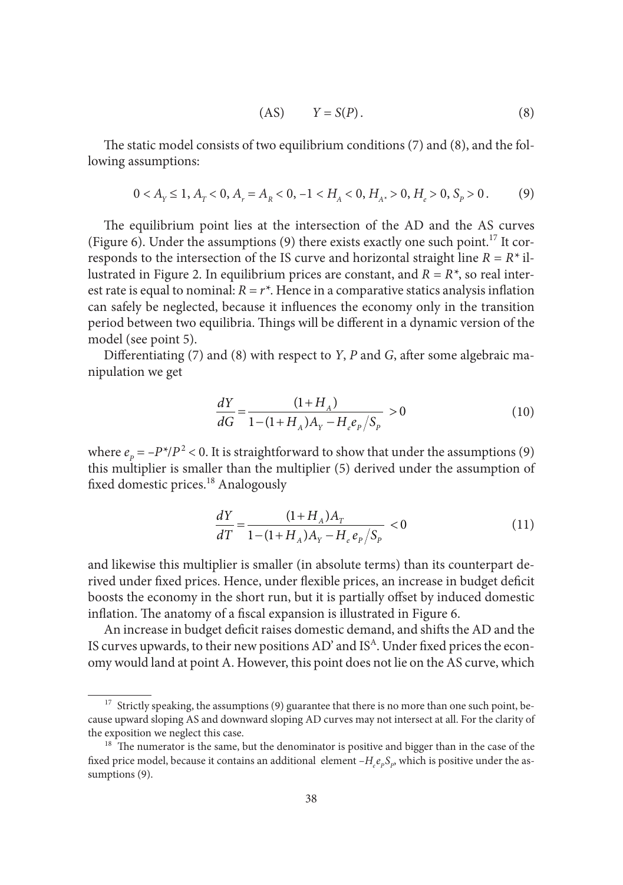$$
(AS) \t Y = S(P). \t(8)
$$

The static model consists of two equilibrium conditions  $(7)$  and  $(8)$ , and the following assumptions:

$$
0 < A_{Y} \le 1, A_{Y} < 0, A_{Y} = A_{R} < 0, -1 < H_{A} < 0, H_{A^*} > 0, H_{e} > 0, S_{P} > 0. \tag{9}
$$

The equilibrium point lies at the intersection of the AD and the AS curves (Figure 6). Under the assumptions (9) there exists exactly one such point.<sup>17</sup> It corresponds to the intersection of the IS curve and horizontal straight line *R = R\** illustrated in Figure 2. In equilibrium prices are constant, and *R = R\**, so real interest rate is equal to nominal:  $R = r^*$ . Hence in a comparative statics analysis inflation can safely be neglected, because it influences the economy only in the transition period between two equilibria. Things will be different in a dynamic version of the model (see point 5).

Differentiating (7) and (8) with respect to *Y*, *P* and *G*, after some algebraic manipulation we get

$$
\frac{dY}{dG} = \frac{(1 + H_A)}{1 - (1 + H_A)A_Y - H_e e_p / S_p} > 0
$$
\n(10)

where  $e_p = -P^*/P^2 < 0$ . It is straightforward to show that under the assumptions (9) this multiplier is smaller than the multiplier (5) derived under the assumption of fixed domestic prices.<sup>18</sup> Analogously

$$
\frac{dY}{dT} = \frac{(1 + H_A)A_T}{1 - (1 + H_A)A_Y - H_e e_p/S_p} < 0\tag{11}
$$

and likewise this multiplier is smaller (in absolute terms) than its counterpart derived under fixed prices. Hence, under flexible prices, an increase in budget deficit boosts the economy in the short run, but it is partially offset by induced domestic inflation. The anatomy of a fiscal expansion is illustrated in Figure 6.

An increase in budget deficit raises domestic demand, and shifts the AD and the IS curves upwards, to their new positions AD' and IS<sup>A</sup>. Under fixed prices the economy would land at point A. However, this point does not lie on the AS curve, which

<sup>&</sup>lt;sup>17</sup> Strictly speaking, the assumptions (9) guarantee that there is no more than one such point, because upward sloping AS and downward sloping AD curves may not intersect at all. For the clarity of the exposition we neglect this case.<br><sup>18</sup> The numerator is the same, but the denominator is positive and bigger than in the case of the

fixed price model, because it contains an additional element  $-H_e e_p S_p$ , which is positive under the assumptions (9).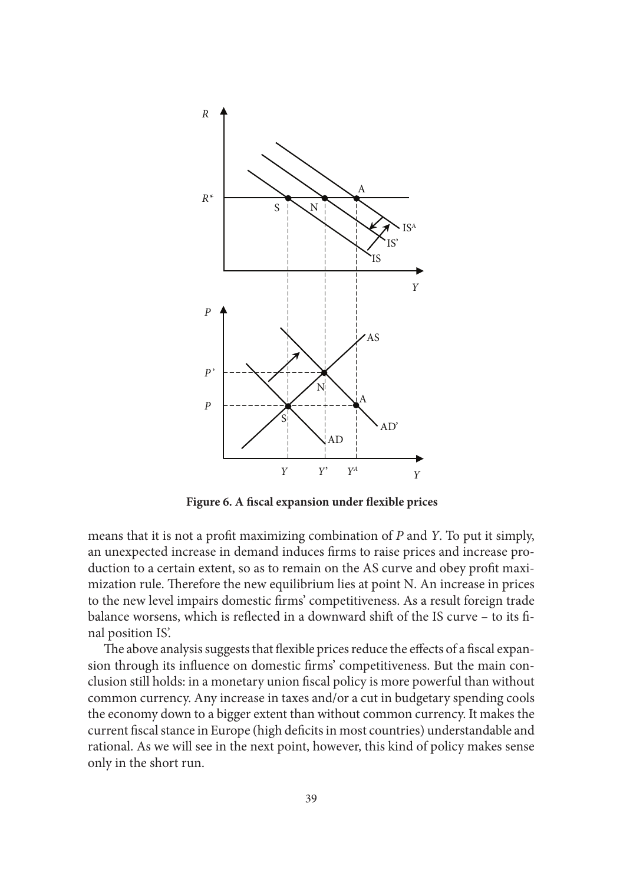

Figure 6. A fiscal expansion under flexible prices

means that it is not a profi t maximizing combination of *P* and *Y*. To put it simply, an unexpected increase in demand induces firms to raise prices and increase production to a certain extent, so as to remain on the AS curve and obey profit maximization rule. Therefore the new equilibrium lies at point N. An increase in prices to the new level impairs domestic firms' competitiveness. As a result foreign trade balance worsens, which is reflected in a downward shift of the IS curve - to its final position IS'.

The above analysis suggests that flexible prices reduce the effects of a fiscal expansion through its influence on domestic firms' competitiveness. But the main conclusion still holds: in a monetary union fiscal policy is more powerful than without common currency. Any increase in taxes and/or a cut in budgetary spending cools the economy down to a bigger extent than without common currency. It makes the current fiscal stance in Europe (high deficits in most countries) understandable and rational. As we will see in the next point, however, this kind of policy makes sense only in the short run.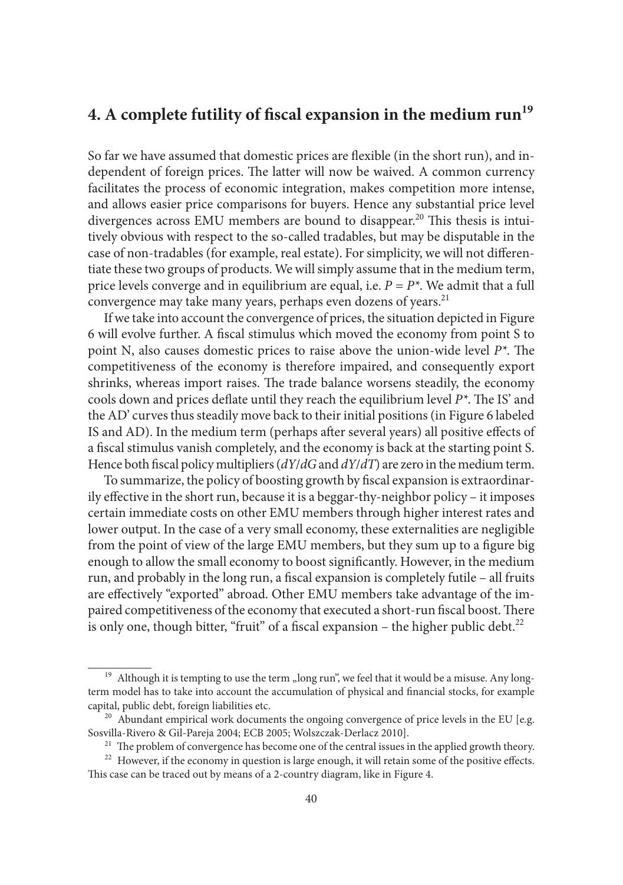## **4. A complete futility of fiscal expansion in the medium run<sup>19</sup>**

So far we have assumed that domestic prices are flexible (in the short run), and independent of foreign prices. The latter will now be waived. A common currency facilitates the process of economic integration, makes competition more intense, and allows easier price comparisons for buyers. Hence any substantial price level divergences across EMU members are bound to disappear.<sup>20</sup> This thesis is intuitively obvious with respect to the so-called tradables, but may be disputable in the case of non-tradables (for example, real estate). For simplicity, we will not differentiate these two groups of products. We will simply assume that in the medium term, price levels converge and in equilibrium are equal, i.e.  $P = P^*$ . We admit that a full convergence may take many years, perhaps even dozens of years.<sup>21</sup>

If we take into account the convergence of prices, the situation depicted in Figure 6 will evolve further. A fiscal stimulus which moved the economy from point S to point N, also causes domestic prices to raise above the union-wide level  $P^*$ . The competitiveness of the economy is therefore impaired, and consequently export shrinks, whereas import raises. The trade balance worsens steadily, the economy cools down and prices deflate until they reach the equilibrium level  $P^*$ . The IS' and the AD' curves thus steadily move back to their initial positions (in Figure 6 labeled IS and AD). In the medium term (perhaps after several years) all positive effects of a fiscal stimulus vanish completely, and the economy is back at the starting point S. Hence both fiscal policy multipliers ( $dY/dG$  and  $dY/dT$ ) are zero in the medium term.

To summarize, the policy of boosting growth by fiscal expansion is extraordinarily effective in the short run, because it is a beggar-thy-neighbor policy – it imposes certain immediate costs on other EMU members through higher interest rates and lower output. In the case of a very small economy, these externalities are negligible from the point of view of the large EMU members, but they sum up to a figure big enough to allow the small economy to boost significantly. However, in the medium run, and probably in the long run, a fiscal expansion is completely futile - all fruits are effectively "exported" abroad. Other EMU members take advantage of the impaired competitiveness of the economy that executed a short-run fiscal boost. There is only one, though bitter, "fruit" of a fiscal expansion – the higher public debt. $^{22}$ 

<sup>&</sup>lt;sup>19</sup> Although it is tempting to use the term "long run", we feel that it would be a misuse. Any longterm model has to take into account the accumulation of physical and financial stocks, for example capital, public debt, foreign liabilities etc.<br><sup>20</sup> Abundant empirical work documents the ongoing convergence of price levels in the EU [e.g.

Sosvilla-Rivero & Gil-Pareja 2004; ECB 2005; Wolszczak-Derlacz 2010].<br><sup>21</sup> The problem of convergence has become one of the central issues in the applied growth theory.<br><sup>22</sup> However, if the economy in question is large en

This case can be traced out by means of a 2-country diagram, like in Figure 4.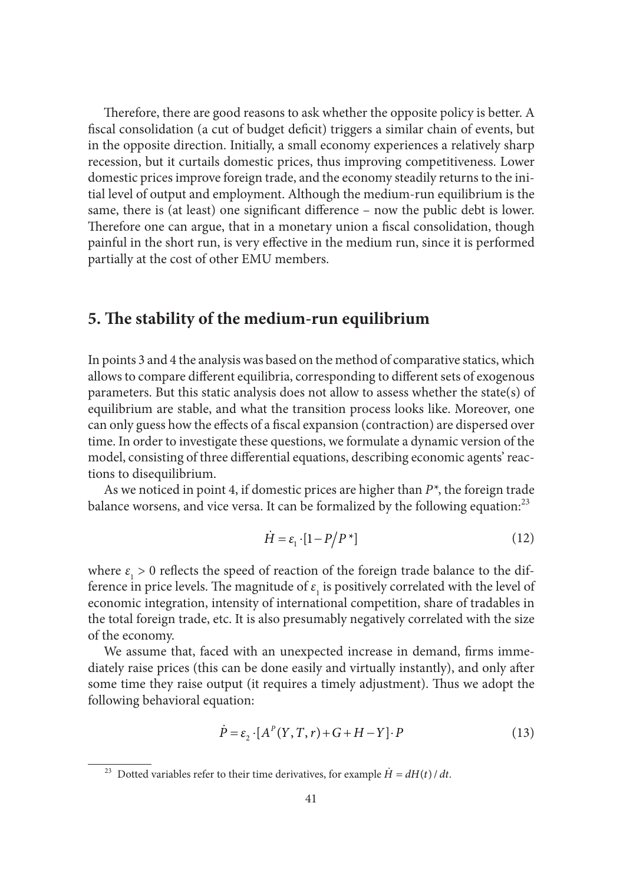Therefore, there are good reasons to ask whether the opposite policy is better. A fiscal consolidation (a cut of budget deficit) triggers a similar chain of events, but in the opposite direction. Initially, a small economy experiences a relatively sharp recession, but it curtails domestic prices, thus improving competitiveness. Lower domestic prices improve foreign trade, and the economy steadily returns to the initial level of output and employment. Although the medium-run equilibrium is the same, there is (at least) one significant difference – now the public debt is lower. Therefore one can argue, that in a monetary union a fiscal consolidation, though painful in the short run, is very effective in the medium run, since it is performed partially at the cost of other EMU members.

#### **5. The stability of the medium-run equilibrium**

In points 3 and 4 the analysis was based on the method of comparative statics, which allows to compare different equilibria, corresponding to different sets of exogenous parameters. But this static analysis does not allow to assess whether the state(s) of equilibrium are stable, and what the transition process looks like. Moreover, one can only guess how the effects of a fiscal expansion (contraction) are dispersed over time. In order to investigate these questions, we formulate a dynamic version of the model, consisting of three differential equations, describing economic agents' reactions to disequilibrium.

As we noticed in point 4, if domestic prices are higher than *P\**, the foreign trade balance worsens, and vice versa. It can be formalized by the following equation:<sup>23</sup>

$$
\dot{H} = \varepsilon_1 \cdot [1 - P/P^*] \tag{12}
$$

where  $\varepsilon_1 > 0$  reflects the speed of reaction of the foreign trade balance to the difference in price levels. The magnitude of  $\varepsilon_{\text{\tiny{l}}}$  is positively correlated with the level of economic integration, intensity of international competition, share of tradables in the total foreign trade, etc. It is also presumably negatively correlated with the size of the economy.

We assume that, faced with an unexpected increase in demand, firms immediately raise prices (this can be done easily and virtually instantly), and only after some time they raise output (it requires a timely adjustment). Thus we adopt the following behavioral equation:

$$
\dot{P} = \varepsilon_2 \cdot [A^P(Y, T, r) + G + H - Y] \cdot P \tag{13}
$$

<sup>&</sup>lt;sup>23</sup> Dotted variables refer to their time derivatives, for example  $\dot{H} = dH(t)/dt$ .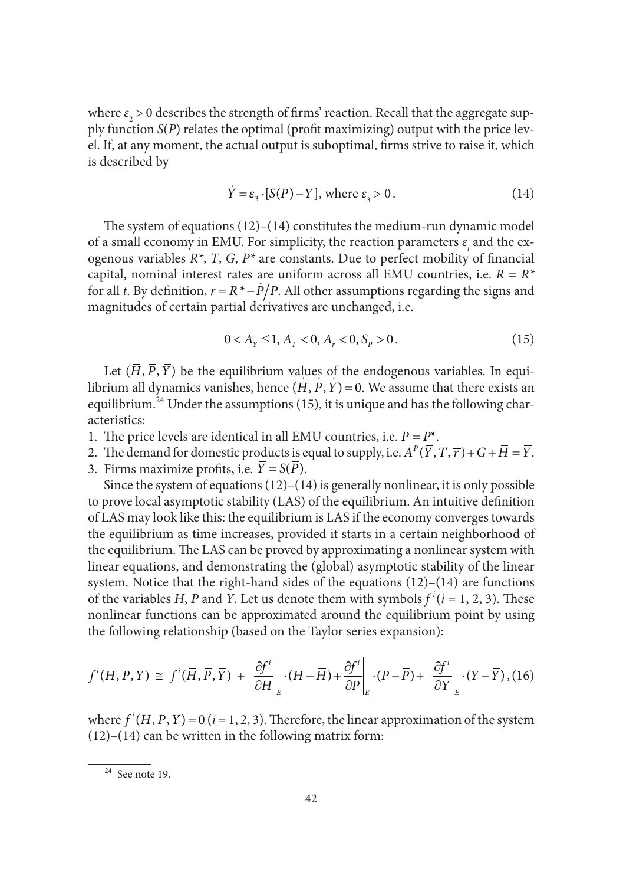where  $\varepsilon_{_{2}}$   $>$  0 describes the strength of firms' reaction. Recall that the aggregate supply function *S*(*P*) relates the optimal (profit maximizing) output with the price level. If, at any moment, the actual output is suboptimal, firms strive to raise it, which is described by

$$
\dot{Y} = \varepsilon_3 \cdot [S(P) - Y], \text{ where } \varepsilon_3 > 0. \tag{14}
$$

The system of equations  $(12)$ – $(14)$  constitutes the medium-run dynamic model of a small economy in EMU. For simplicity, the reaction parameters  $\varepsilon$ <sub>i</sub> and the exogenous variables  $R^*$ , *T*, *G*,  $P^*$  are constants. Due to perfect mobility of financial capital, nominal interest rates are uniform across all EMU countries, i.e. *R = R\** for all *t*. By definition,  $r = R^* - \dot{P}/P$ . All other assumptions regarding the signs and magnitudes of certain partial derivatives are unchanged, i.e.

$$
0 < A_{Y} \le 1, A_{T} < 0, A_{r} < 0, S_{P} > 0. \tag{15}
$$

Let  $(\overline{H},\overline{P},\overline{Y})$  be the equilibrium values of the endogenous variables. In equilibrium all dynamics vanishes, hence  $(\overline{H},\overline{P},\overline{Y}) = 0$ . We assume that there exists an equilibrium.<sup>24</sup> Under the assumptions (15), it is unique and has the following characteristics:

- 1. The price levels are identical in all EMU countries, i.e.  $\overline{P} = P^*$ .
- 2. The demand for domestic products is equal to supply, i.e.  $A^P(\overline{Y}, T, \overline{r}) + G + \overline{H} = \overline{Y}$ .
- 3. Firms maximize profits, i.e.  $\overline{Y} = S(\overline{P})$ .

Since the system of equations (12)–(14) is generally nonlinear, it is only possible to prove local asymptotic stability (LAS) of the equilibrium. An intuitive definition of LAS may look like this: the equilibrium is LAS if the economy converges towards the equilibrium as time increases, provided it starts in a certain neighborhood of the equilibrium. The LAS can be proved by approximating a nonlinear system with linear equations, and demonstrating the (global) asymptotic stability of the linear system. Notice that the right-hand sides of the equations (12)–(14) are functions of the variables *H*, *P* and *Y*. Let us denote them with symbols  $f^{i}(i = 1, 2, 3)$ . These nonlinear functions can be approximated around the equilibrium point by using the following relationship (based on the Taylor series expansion):

$$
f^{i}(H, P, Y) \cong f^{i}(\overline{H}, \overline{P}, \overline{Y}) + \frac{\partial f^{i}}{\partial H}\bigg|_{E} \cdot (H - \overline{H}) + \frac{\partial f^{i}}{\partial P}\bigg|_{E} \cdot (P - \overline{P}) + \frac{\partial f^{i}}{\partial Y}\bigg|_{E} \cdot (Y - \overline{Y}), (16)
$$

where  $f^{i}(\overline{H},\overline{P},\overline{Y}) = 0$  (*i* = 1, 2, 3). Therefore, the linear approximation of the system  $(12)$ – $(14)$  can be written in the following matrix form:

 $24$  See note 19.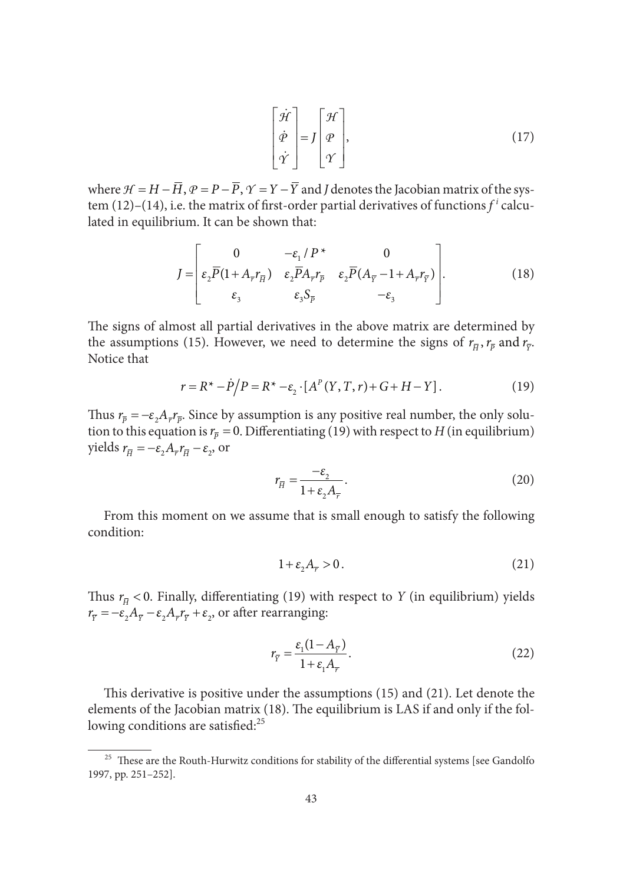$$
\begin{bmatrix} \dot{\mathcal{H}} \\ \dot{\varphi} \\ \dot{\gamma} \end{bmatrix} = J \begin{bmatrix} \mathcal{H} \\ \varphi \\ \gamma \end{bmatrix},
$$
\n(17)

where  $H = H - \overline{H}$ ,  $P = P - \overline{P}$ ,  $\gamma = Y - \overline{Y}$  and *J* denotes the Jacobian matrix of the system (12)–(14), i.e. the matrix of first-order partial derivatives of functions  $f^i$  calculated in equilibrium. It can be shown that:

$$
J = \begin{bmatrix} 0 & -\varepsilon_1 / P^* & 0 \\ \varepsilon_2 \overline{P} (1 + A_{\overline{r}} r_{\overline{H}}) & \varepsilon_2 \overline{P} A_{\overline{r}} r_{\overline{p}} & \varepsilon_2 \overline{P} (A_{\overline{Y}} - 1 + A_{\overline{r}} r_{\overline{Y}}) \\ \varepsilon_3 & \varepsilon_3 S_{\overline{p}} & -\varepsilon_3 \end{bmatrix} .
$$
 (18)

The signs of almost all partial derivatives in the above matrix are determined by the assumptions (15). However, we need to determine the signs of  $r_{\overline{\mu}}$ ,  $r_{\overline{\nu}}$  and  $r_{\overline{\nu}}$ . Notice that

$$
r = R^* - P/P = R^* - \varepsilon_2 \cdot [A^P(Y, T, r) + G + H - Y].
$$
\n(19)

Thus  $r_{\bar{p}} = -\varepsilon_2 A_{\bar{r}} r_{\bar{p}}$ . Since by assumption is any positive real number, the only solution to this equation is  $r_{\overline{p}} = 0$ . Differentiating (19) with respect to *H* (in equilibrium) yields  $r_{\overline{H}} = -\varepsilon A_{\overline{r}} r_{\overline{H}} - \varepsilon$ , or

$$
r_{\overline{H}} = \frac{-\varepsilon_2}{1 + \varepsilon_2 A_{\overline{r}}}.
$$
\n(20)

From this moment on we assume that is small enough to satisfy the following condition:

$$
1 + \varepsilon_2 A_{\overline{r}} > 0. \tag{21}
$$

Thus  $r_{\overline{H}}$  < 0. Finally, differentiating (19) with respect to *Y* (in equilibrium) yields  $r_{\overline{y}} = -\varepsilon_2 A_{\overline{y}} - \varepsilon_2 A_{\overline{y}} r_{\overline{y}} + \varepsilon_2$ , or after rearranging:

$$
r_{\overline{Y}} = \frac{\varepsilon_1 (1 - A_{\overline{Y}})}{1 + \varepsilon_1 A_{\overline{Y}}}.
$$
\n(22)

This derivative is positive under the assumptions  $(15)$  and  $(21)$ . Let denote the elements of the Jacobian matrix (18). The equilibrium is LAS if and only if the following conditions are satisfied: $25$ 

<sup>&</sup>lt;sup>25</sup> These are the Routh-Hurwitz conditions for stability of the differential systems [see Gandolfo 1997, pp. 251–252].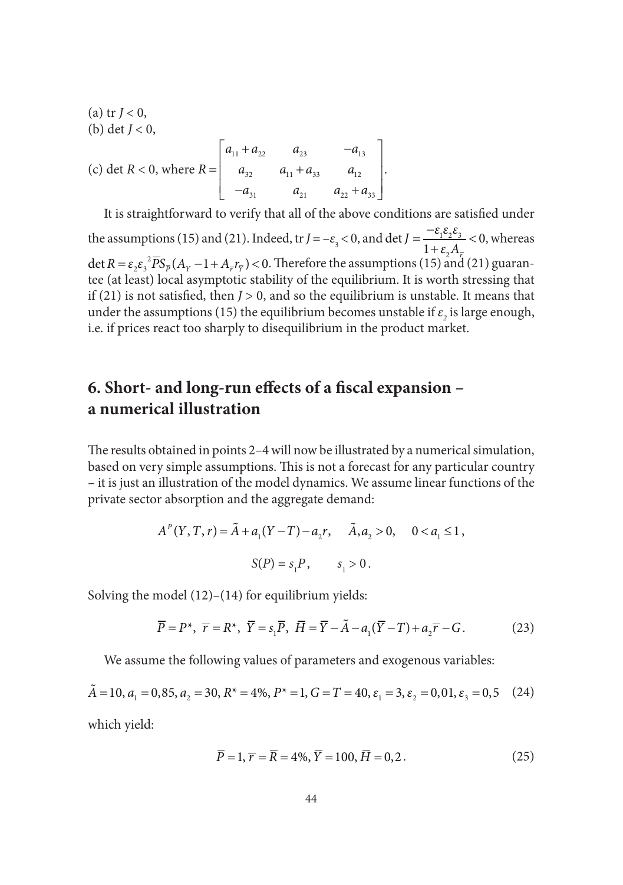(a) tr 
$$
J < 0
$$
,  
\n(b) det  $J < 0$ ,  
\n(c) det  $R < 0$ , where  $R = \begin{bmatrix} a_{11} + a_{22} & a_{23} & -a_{13} \\ a_{32} & a_{11} + a_{33} & a_{12} \\ -a_{31} & a_{21} & a_{22} + a_{33} \end{bmatrix}$ .

It is straightforward to verify that all of the above conditions are satisfied under the assumptions (15) and (21). Indeed, tr  $J = -\varepsilon_3 < 0$ , and  $\det J = \frac{\varepsilon_1 \varepsilon_2 \varepsilon_3}{1 + \varepsilon_1}$ 2 det  $J = \frac{c_1c_2c_3}{l} < 0$  $J = \frac{-\varepsilon_1 \varepsilon_2 \varepsilon_3}{1 + \varepsilon_2 A_{\overline{r}}}$  $\ddot{}$ , whereas det  $R = \varepsilon_2 \varepsilon_3^2 \overline{P} S_{\overline{p}} (A_Y - 1 + A_{\overline{r}} r_{\overline{Y}}) < 0$ . Therefore the assumptions (15) and (21) guarantee (at least) local asymptotic stability of the equilibrium. It is worth stressing that if  $(21)$  is not satisfied, then *, and so the equilibrium is unstable. It means that* under the assumptions (15) the equilibrium becomes unstable if  $\varepsilon$ <sub>2</sub> is large enough, i.e. if prices react too sharply to disequilibrium in the product market.

## **6. Short- and long-run effects of a fiscal expansion – a numerical illustration**

The results obtained in points 2-4 will now be illustrated by a numerical simulation, based on very simple assumptions. This is not a forecast for any particular country – it is just an illustration of the model dynamics. We assume linear functions of the private sector absorption and the aggregate demand:

$$
A^{P}(Y, T, r) = \tilde{A} + a_{1}(Y - T) - a_{2}r, \quad \tilde{A}, a_{2} > 0, \quad 0 < a_{1} \le 1,
$$
  

$$
S(P) = s_{1}P, \quad s_{1} > 0.
$$

Solving the model  $(12)$ – $(14)$  for equilibrium yields:

$$
\overline{P} = P^*, \ \overline{r} = R^*, \ \overline{Y} = s_1 \overline{P}, \ \overline{H} = \overline{Y} - \tilde{A} - a_1(\overline{Y} - T) + a_2 \overline{r} - G. \tag{23}
$$

We assume the following values of parameters and exogenous variables:

 $\tilde{A} = 10$ ,  $a_1 = 0.85$ ,  $a_2 = 30$ ,  $R^* = 4\%$ ,  $P^* = 1$ ,  $G = T = 40$ ,  $\varepsilon_1 = 3$ ,  $\varepsilon_2 = 0.01$ ,  $\varepsilon_3 = 0.5$  (24) which yield:

$$
\overline{P} = 1, \overline{r} = \overline{R} = 4\%, \overline{Y} = 100, \overline{H} = 0, 2.
$$
 (25)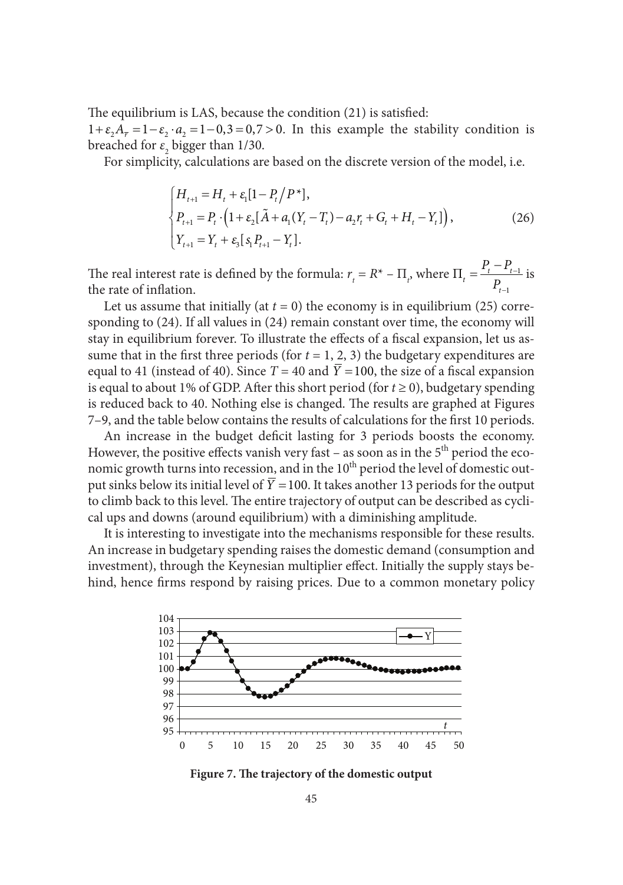The equilibrium is LAS, because the condition (21) is satisfied:

 $1 + \varepsilon_2 A_{\overline{r}} = 1 - \varepsilon_2 \cdot a_2 = 1 - 0, 3 = 0, 7 > 0$ . In this example the stability condition is breached for  $\varepsilon$ <sub>2</sub> bigger than 1/30.

For simplicity, calculations are based on the discrete version of the model, i.e.

$$
\begin{cases}\nH_{t+1} = H_t + \varepsilon_1 [1 - P_t / P^*], \\
P_{t+1} = P_t \cdot (1 + \varepsilon_2 [\tilde{A} + a_1 (Y_t - T_t) - a_2 r_t + G_t + H_t - Y_t]), \\
Y_{t+1} = Y_t + \varepsilon_3 [s_1 P_{t+1} - Y_t].\n\end{cases}
$$
\n(26)

The real interest rate is defined by the formula:  $r_t = R^* - \Pi_t$ , where  $\Pi_t = \frac{r_t - r_{t-1}}{R}$ 1  $\prod_t = \frac{t_t - t_t}{D}$ *t*  $P_{t}-P_{t}$ *P* Ė - $=\frac{P_t-P_{t-1}}{P}$  is the rate of inflation.

Let us assume that initially (at  $t = 0$ ) the economy is in equilibrium (25) corresponding to (24). If all values in (24) remain constant over time, the economy will stay in equilibrium forever. To illustrate the effects of a fiscal expansion, let us assume that in the first three periods (for  $t = 1, 2, 3$ ) the budgetary expenditures are equal to 41 (instead of 40). Since  $T = 40$  and  $\overline{Y} = 100$ , the size of a fiscal expansion is equal to about 1% of GDP. After this short period (for  $t \ge 0$ ), budgetary spending is reduced back to 40. Nothing else is changed. The results are graphed at Figures 7–9, and the table below contains the results of calculations for the first 10 periods.

An increase in the budget deficit lasting for 3 periods boosts the economy. However, the positive effects vanish very fast – as soon as in the  $5<sup>th</sup>$  period the economic growth turns into recession, and in the 10<sup>th</sup> period the level of domestic output sinks below its initial level of  $\overline{Y}$  = 100. It takes another 13 periods for the output to climb back to this level. The entire trajectory of output can be described as cyclical ups and downs (around equilibrium) with a diminishing amplitude.

It is interesting to investigate into the mechanisms responsible for these results. An increase in budgetary spending raises the domestic demand (consumption and investment), through the Keynesian multiplier effect. Initially the supply stays behind, hence firms respond by raising prices. Due to a common monetary policy



Figure 7. The trajectory of the domestic output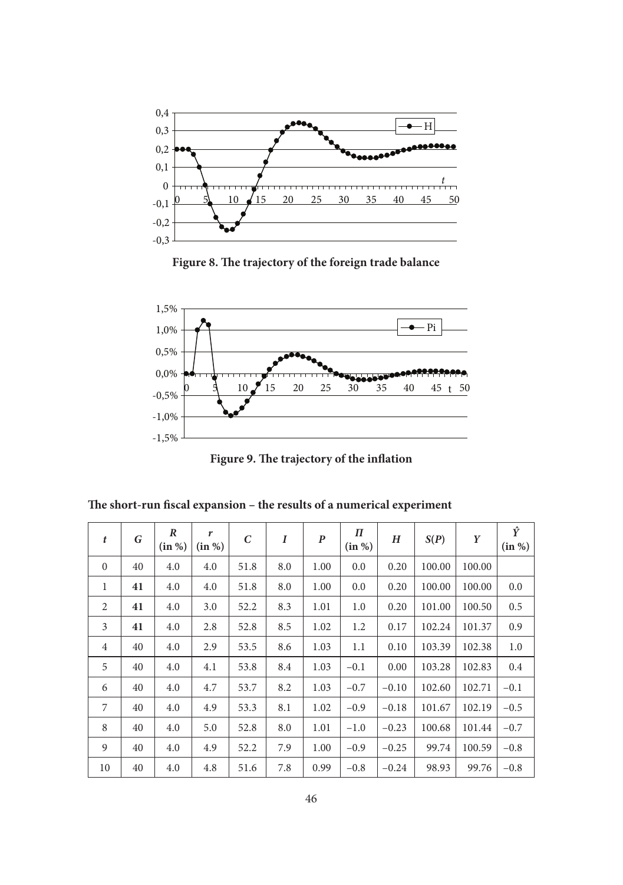

Figure 8. The trajectory of the foreign trade balance



Figure 9. The trajectory of the inflation

The short-run fiscal expansion – the results of a numerical experiment

| $\mathbf{t}$   | G  | R<br>(in %) | r<br>(in %) | $\epsilon$ | I   | P    | П<br>(in %) | H       | S(P)   | Y      | Ŷ<br>(in %) |
|----------------|----|-------------|-------------|------------|-----|------|-------------|---------|--------|--------|-------------|
| $\mathbf{0}$   | 40 | 4.0         | 4.0         | 51.8       | 8.0 | 1.00 | 0.0         | 0.20    | 100.00 | 100.00 |             |
| 1              | 41 | 4.0         | 4.0         | 51.8       | 8.0 | 1.00 | 0.0         | 0.20    | 100.00 | 100.00 | 0.0         |
| 2              | 41 | 4.0         | 3.0         | 52.2       | 8.3 | 1.01 | 1.0         | 0.20    | 101.00 | 100.50 | 0.5         |
| 3              | 41 | 4.0         | 2.8         | 52.8       | 8.5 | 1.02 | 1.2         | 0.17    | 102.24 | 101.37 | 0.9         |
| $\overline{4}$ | 40 | 4.0         | 2.9         | 53.5       | 8.6 | 1.03 | 1.1         | 0.10    | 103.39 | 102.38 | 1.0         |
| 5              | 40 | 4.0         | 4.1         | 53.8       | 8.4 | 1.03 | $-0.1$      | 0.00    | 103.28 | 102.83 | 0.4         |
| 6              | 40 | 4.0         | 4.7         | 53.7       | 8.2 | 1.03 | $-0.7$      | $-0.10$ | 102.60 | 102.71 | $-0.1$      |
| 7              | 40 | 4.0         | 4.9         | 53.3       | 8.1 | 1.02 | $-0.9$      | $-0.18$ | 101.67 | 102.19 | $-0.5$      |
| 8              | 40 | 4.0         | 5.0         | 52.8       | 8.0 | 1.01 | $-1.0$      | $-0.23$ | 100.68 | 101.44 | $-0.7$      |
| 9              | 40 | 4.0         | 4.9         | 52.2       | 7.9 | 1.00 | $-0.9$      | $-0.25$ | 99.74  | 100.59 | $-0.8$      |
| 10             | 40 | 4.0         | 4.8         | 51.6       | 7.8 | 0.99 | $-0.8$      | $-0.24$ | 98.93  | 99.76  | $-0.8$      |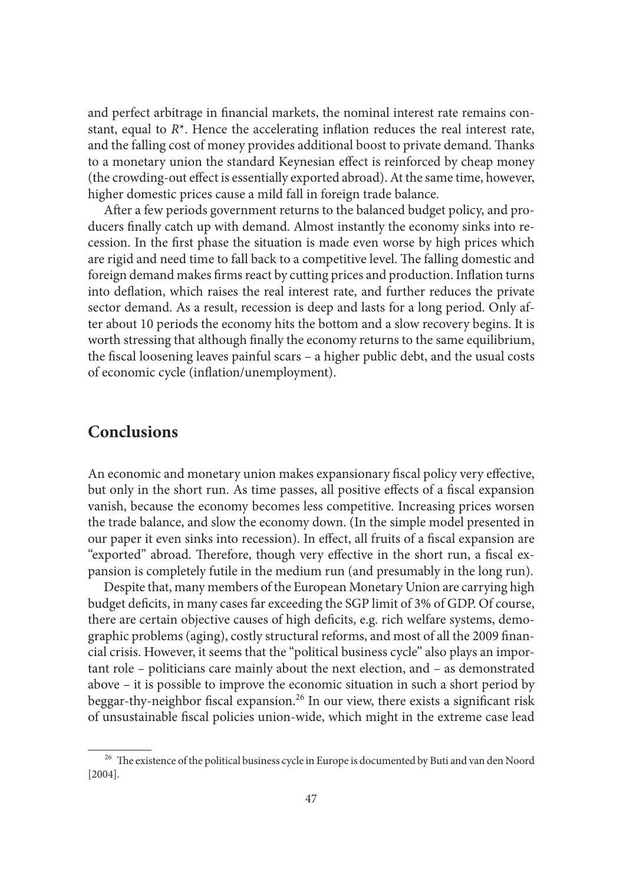and perfect arbitrage in financial markets, the nominal interest rate remains constant, equal to  $R^*$ . Hence the accelerating inflation reduces the real interest rate, and the falling cost of money provides additional boost to private demand. Thanks to a monetary union the standard Keynesian effect is reinforced by cheap money (the crowding-out effect is essentially exported abroad). At the same time, however, higher domestic prices cause a mild fall in foreign trade balance.

After a few periods government returns to the balanced budget policy, and producers finally catch up with demand. Almost instantly the economy sinks into recession. In the first phase the situation is made even worse by high prices which are rigid and need time to fall back to a competitive level. The falling domestic and foreign demand makes firms react by cutting prices and production. Inflation turns into deflation, which raises the real interest rate, and further reduces the private sector demand. As a result, recession is deep and lasts for a long period. Only after about 10 periods the economy hits the bottom and a slow recovery begins. It is worth stressing that although finally the economy returns to the same equilibrium, the fiscal loosening leaves painful scars – a higher public debt, and the usual costs of economic cycle (inflation/unemployment).

### **Conclusions**

An economic and monetary union makes expansionary fiscal policy very effective, but only in the short run. As time passes, all positive effects of a fiscal expansion vanish, because the economy becomes less competitive. Increasing prices worsen the trade balance, and slow the economy down. (In the simple model presented in our paper it even sinks into recession). In effect, all fruits of a fiscal expansion are "exported" abroad. Therefore, though very effective in the short run, a fiscal expansion is completely futile in the medium run (and presumably in the long run).

Despite that, many members of the European Monetary Union are carrying high budget deficits, in many cases far exceeding the SGP limit of 3% of GDP. Of course, there are certain objective causes of high deficits, e.g. rich welfare systems, demographic problems (aging), costly structural reforms, and most of all the 2009 financial crisis. However, it seems that the "political business cycle" also plays an important role – politicians care mainly about the next election, and – as demonstrated above – it is possible to improve the economic situation in such a short period by beggar-thy-neighbor fiscal expansion.<sup>26</sup> In our view, there exists a significant risk of unsustainable fiscal policies union-wide, which might in the extreme case lead

<sup>&</sup>lt;sup>26</sup> The existence of the political business cycle in Europe is documented by Buti and van den Noord [2004].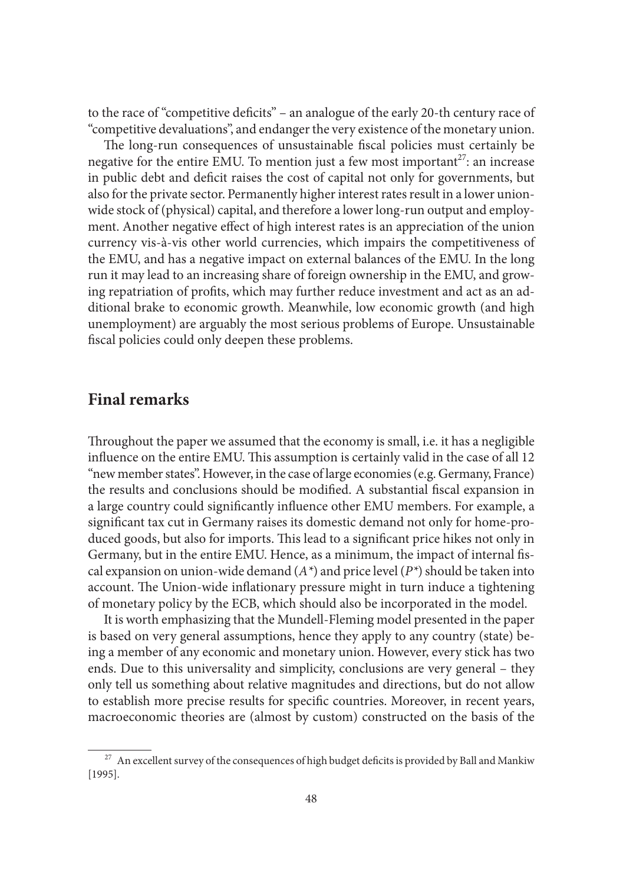to the race of "competitive deficits" – an analogue of the early 20-th century race of "competitive devaluations", and endanger the very existence of the monetary union.

The long-run consequences of unsustainable fiscal policies must certainly be negative for the entire EMU. To mention just a few most important<sup>27</sup>: an increase in public debt and deficit raises the cost of capital not only for governments, but also for the private sector. Permanently higher interest rates result in a lower unionwide stock of (physical) capital, and therefore a lower long-run output and employment. Another negative effect of high interest rates is an appreciation of the union currency vis-à-vis other world currencies, which impairs the competitiveness of the EMU, and has a negative impact on external balances of the EMU. In the long run it may lead to an increasing share of foreign ownership in the EMU, and growing repatriation of profits, which may further reduce investment and act as an additional brake to economic growth. Meanwhile, low economic growth (and high unemployment) are arguably the most serious problems of Europe. Unsustainable fiscal policies could only deepen these problems.

#### **Final remarks**

Throughout the paper we assumed that the economy is small, i.e. it has a negligible influence on the entire EMU. This assumption is certainly valid in the case of all 12 "new member states". However, in the case of large economies (e.g. Germany, France) the results and conclusions should be modified. A substantial fiscal expansion in a large country could significantly influence other EMU members. For example, a significant tax cut in Germany raises its domestic demand not only for home-produced goods, but also for imports. This lead to a significant price hikes not only in Germany, but in the entire EMU. Hence, as a minimum, the impact of internal fiscal expansion on union-wide demand  $(A^*)$  and price level  $(P^*)$  should be taken into account. The Union-wide inflationary pressure might in turn induce a tightening of monetary policy by the ECB, which should also be incorporated in the model.

It is worth emphasizing that the Mundell-Fleming model presented in the paper is based on very general assumptions, hence they apply to any country (state) being a member of any economic and monetary union. However, every stick has two ends. Due to this universality and simplicity, conclusions are very general – they only tell us something about relative magnitudes and directions, but do not allow to establish more precise results for specific countries. Moreover, in recent years, macroeconomic theories are (almost by custom) constructed on the basis of the

 $^{27}\,$  An excellent survey of the consequences of high budget deficits is provided by Ball and Mankiw [1995].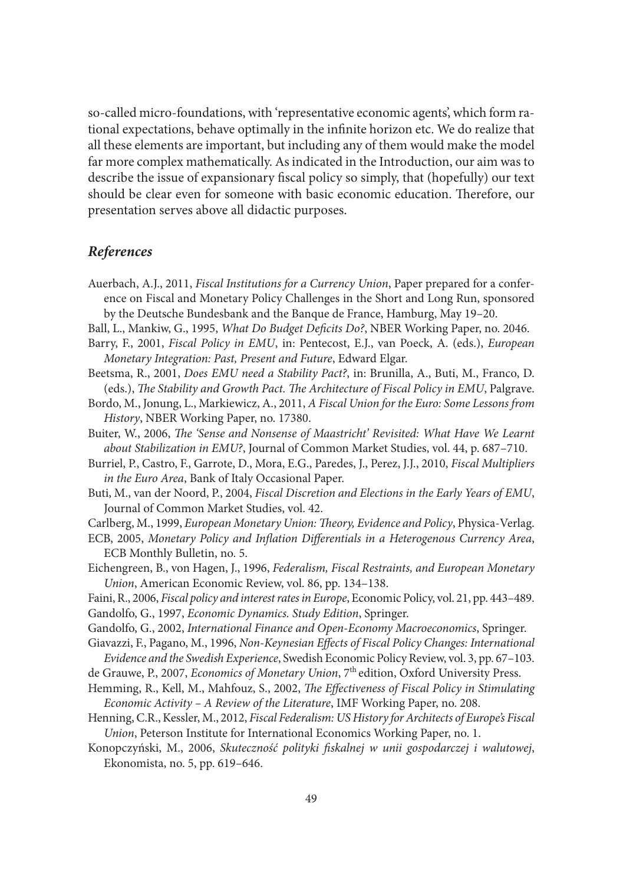so-called micro-foundations, with 'representative economic agents', which form rational expectations, behave optimally in the infinite horizon etc. We do realize that all these elements are important, but including any of them would make the model far more complex mathematically. As indicated in the Introduction, our aim was to describe the issue of expansionary fiscal policy so simply, that (hopefully) our text should be clear even for someone with basic economic education. Therefore, our presentation serves above all didactic purposes.

#### *References*

- Auerbach, A.J., 2011, *Fiscal Institutions for a Currency Union*, Paper prepared for a conference on Fiscal and Monetary Policy Challenges in the Short and Long Run, sponsored by the Deutsche Bundesbank and the Banque de France, Hamburg, May 19–20.
- Ball, L., Mankiw, G., 1995, *What Do Budget Deficits Do*?, NBER Working Paper, no. 2046.
- Barry, F., 2001, *Fiscal Policy in EMU*, in: Pentecost, E.J., van Poeck, A. (eds.), *European Monetary Integration: Past, Present and Future*, Edward Elgar.
- Beetsma, R., 2001, *Does EMU need a Stability Pact?*, in: Brunilla, A., Buti, M., Franco, D. (eds.), *The Stability and Growth Pact. The Architecture of Fiscal Policy in EMU*, Palgrave.
- Bordo, M., Jonung, L., Markiewicz, A., 2011, *A Fiscal Union for the Euro: Some Lessons from History*, NBER Working Paper, no. 17380.
- Buiter, W., 2006, *The 'Sense and Nonsense of Maastricht' Revisited: What Have We Learnt about Stabilization in EMU?*, Journal of Common Market Studies, vol. 44, p. 687–710.
- Burriel, P., Castro, F., Garrote, D., Mora, E.G., Paredes, J., Perez, J.J., 2010, *Fiscal Multipliers in the Euro Area*, Bank of Italy Occasional Paper.
- Buti, M., van der Noord, P., 2004, *Fiscal Discretion and Elections in the Early Years of EMU*, Journal of Common Market Studies, vol. 42.
- Carlberg, M., 1999, *European Monetary Union: Th eory, Evidence and Policy*, Physica-Verlag.
- ECB, 2005, *Monetary Policy and Inflation Differentials in a Heterogenous Currency Area*, ECB Monthly Bulletin, no. 5.
- Eichengreen, B., von Hagen, J., 1996, *Federalism, Fiscal Restraints, and European Monetary Union*, American Economic Review, vol. 86, pp. 134–138.
- Faini, R., 2006, *Fiscal policy and interest rates in Europe*, Economic Policy, vol. 21, pp. 443–489. Gandolfo, G., 1997, *Economic Dynamics. Study Edition*, Springer.
- Gandolfo, G., 2002, *International Finance and Open-Economy Macroeconomics*, Springer.
- Giavazzi, F., Pagano, M., 1996, *Non-Keynesian Effects of Fiscal Policy Changes: International Evidence and the Swedish Experience*, Swedish Economic Policy Review, vol. 3, pp. 67–103.
- de Grauwe, P., 2007, *Economics of Monetary Union*, 7<sup>th</sup> edition, Oxford University Press.
- Hemming, R., Kell, M., Mahfouz, S., 2002, *The Effectiveness of Fiscal Policy in Stimulating Economic Activity – A Review of the Literature*, IMF Working Paper, no. 208.
- Henning, C.R., Kessler, M., 2012, *Fiscal Federalism: US History for Architects of Europe's Fiscal Union*, Peterson Institute for International Economics Working Paper, no. 1.
- Konopczyński, M., 2006, *Skuteczność polityki fi skalnej w unii gospodarczej i walutowej*, Ekonomista, no. 5, pp. 619–646.